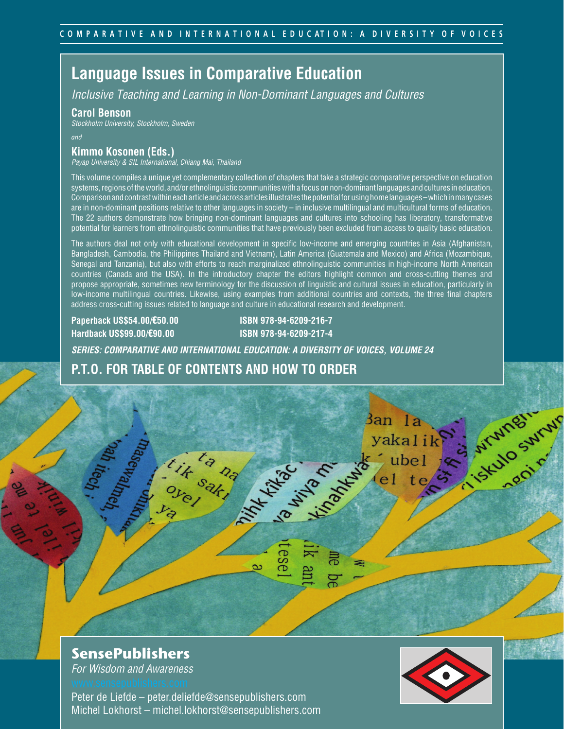## **Language Issues in Comparative Education**

*Inclusive Teaching and Learning in Non-Dominant Languages and Cultures*

### **Carol Benson**

*Stockholm University, Stockholm, Sweden*

*and*

### **Kimmo Kosonen (Eds.)**

*Payap University & SIL International, Chiang Mai, Thailand*

This volume compiles a unique yet complementary collection of chapters that take a strategic comparative perspective on education systems, regions of the world, and/or ethnolinguistic communities with a focus on non-dominant languages and cultures in education. Comparison and contrast within each article and across articles illustrates the potential for using home languages – which in many cases are in non-dominant positions relative to other languages in society – in inclusive multilingual and multicultural forms of education. The 22 authors demonstrate how bringing non-dominant languages and cultures into schooling has liberatory, transformative potential for learners from ethnolinguistic communities that have previously been excluded from access to quality basic education.

The authors deal not only with educational development in specific low-income and emerging countries in Asia (Afghanistan, Bangladesh, Cambodia, the Philippines Thailand and Vietnam), Latin America (Guatemala and Mexico) and Africa (Mozambique, Senegal and Tanzania), but also with efforts to reach marginalized ethnolinguistic communities in high-income North American countries (Canada and the USA). In the introductory chapter the editors highlight common and cross-cutting themes and propose appropriate, sometimes new terminology for the discussion of linguistic and cultural issues in education, particularly in low-income multilingual countries. Likewise, using examples from additional countries and contexts, the three final chapters address cross-cutting issues related to language and culture in educational research and development.

**Paperback US\$54.00/**€**50.00 ISBN 978-94-6209-216-7 Hardback US\$99.00/**€**90.00 ISBN 978-94-6209-217-4**

MAKING OF THE OWNER

ese

 $\sim$ 

*SERIES: COMPARATIVE AND INTERNATIONAL EDUCATION: A DIVERSITY OF VOICES, VOLUME 24*

### **P.T.O. FOR TABLE OF CONTENTS AND HOW TO ORDER**

ta na

### **SensePublishers**

*For Wisdom and Awareness*

Peter de Liefde – peter.deliefde@sensepublishers.com Michel Lokhorst – michel.lokhorst@sensepublishers.com



3an la

yakalik

ubel

A Si Munginum